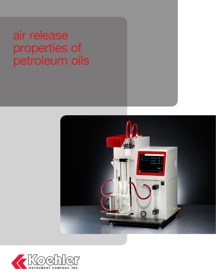air release properties of petroleum oils



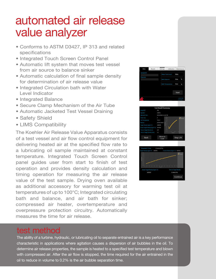# automated air release value analyzer

- Conforms to ASTM D3427, IP 313 and related specifications
- Integrated Touch Screen Control Panel
- Automatic lift system that moves test vessel from air source to balance sinker
- Automatic calculation of final sample density for determination of air release value
- Integrated Circulation bath with Water Level Indicator
- Integrated Balance
- Secure Clamp Mechanism of the Air Tube
- Automatic Jacketed Test Vessel Draining
- Safety Shield
- LIMS Compatibility

The Koehler Air Release Value Apparatus consists of a test vessel and air flow control equipment for delivering heated air at the specified flow rate to a lubricating oil sample maintained at constant temperature. Integrated Touch Screen Control panel guides user from start to finish of test operation and provides density calculation and timing operation for measuring the air release value of the test sample. Drying oven available as additional accessory for warming test oil at temperatures of up to 100°C; Integrated circulating bath and balance, and air bath for sinker; compressed air heater, overtemperature and overpressure protection circuitry. Automatically measures the time for air release.







### test method

The ability of a turbine, hydraulic, or lubricating oil to separate entrained air is a key performance characteristic in applications where agitation causes a dispersion of air bubbles in the oil. To determine air release properties, the sample is heated to a specified test temperature and blown with compressed air. After the air flow is stopped, the time required for the air entrained in the oil to reduce in volume to 0.2% is the air bubble separation time.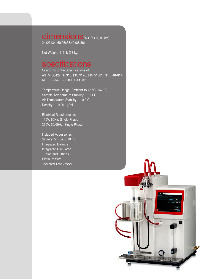dimensions W x D x H, in. (cm) 24x23x34 (60.96x58.42x86.36)

Net Weight: 115 lb (53 kg)

#### specifications

Conforms to the Specifications of: ASTM D3427; IP 313; ISO 9120; DIN 51381; NF E 48-614; NF T 60-149; BS 2000 Part 313

Temperature Range: Ambient to 75 °C (167 °F) Sample Temperature Stability: ± 0.1 C Air Temperature Stability:  $\pm$  0.2 C Density:  $\pm$  0.001 g/ml

Electrical Requirements: 115V, 60Hz, Single Phase 230V, 50/60Hz, Single Phase

Included Accessories Sinkers, 5mL and 10 mL Integrated Balance Integrated Circulator Tubing and Fittings Platinum Wire Jacketed Test Vessel